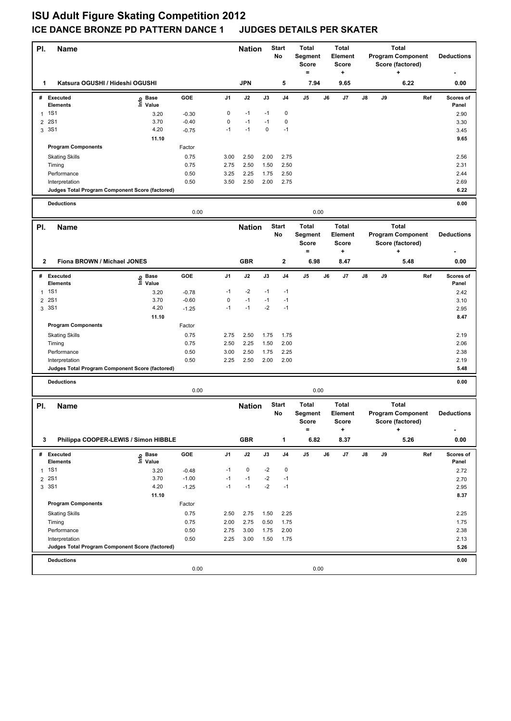## **ISU Adult Figure Skating Competition 2012 ICE DANCE BRONZE PD PATTERN DANCE 1 JUDGES DETAILS PER SKATER**

| PI.            | <b>Name</b>                                     |                   |              |                | <b>Start</b><br><b>Nation</b><br>No |              | <b>Total</b><br><b>Total</b><br>Segment<br>Element<br><b>Score</b><br>Score<br>$=$<br>÷ |                                                | <b>Total</b><br><b>Program Component</b><br>Score (factored)<br>+ |                                              |    |    | <b>Deductions</b>                                                 |     |                        |
|----------------|-------------------------------------------------|-------------------|--------------|----------------|-------------------------------------|--------------|-----------------------------------------------------------------------------------------|------------------------------------------------|-------------------------------------------------------------------|----------------------------------------------|----|----|-------------------------------------------------------------------|-----|------------------------|
| 1              | Katsura OGUSHI / Hideshi OGUSHI                 |                   |              |                | <b>JPN</b>                          |              | 5                                                                                       | 7.94                                           |                                                                   | 9.65                                         |    |    | 6.22                                                              |     | 0.00                   |
|                | # Executed<br><b>Elements</b>                   | e Base<br>⊆ Value | GOE          | J <sub>1</sub> | J2                                  | J3           | J4                                                                                      | J <sub>5</sub>                                 | J6                                                                | J7                                           | J8 | J9 |                                                                   | Ref | Scores of<br>Panel     |
|                | 1 1 S 1                                         | 3.20              | $-0.30$      | 0              | $-1$                                | $-1$         | $\mathbf 0$                                                                             |                                                |                                                                   |                                              |    |    |                                                                   |     | 2.90                   |
| $\overline{2}$ | <b>2S1</b>                                      | 3.70              | $-0.40$      | 0              | $-1$                                | $-1$         | $\mathbf 0$                                                                             |                                                |                                                                   |                                              |    |    |                                                                   |     | 3.30                   |
|                | 3 3S1                                           | 4.20              | $-0.75$      | $-1$           | $-1$                                | $\mathbf 0$  | $-1$                                                                                    |                                                |                                                                   |                                              |    |    |                                                                   |     | 3.45                   |
|                |                                                 | 11.10             |              |                |                                     |              |                                                                                         |                                                |                                                                   |                                              |    |    |                                                                   |     | 9.65                   |
|                | <b>Program Components</b>                       |                   | Factor       |                |                                     |              |                                                                                         |                                                |                                                                   |                                              |    |    |                                                                   |     |                        |
|                | <b>Skating Skills</b>                           |                   | 0.75         | 3.00           | 2.50                                | 2.00         | 2.75                                                                                    |                                                |                                                                   |                                              |    |    |                                                                   |     | 2.56                   |
|                | Timing                                          |                   | 0.75         | 2.75           | 2.50                                | 1.50         | 2.50                                                                                    |                                                |                                                                   |                                              |    |    |                                                                   |     | 2.31                   |
|                | Performance                                     |                   | 0.50         | 3.25           | 2.25                                | 1.75         | 2.50                                                                                    |                                                |                                                                   |                                              |    |    |                                                                   |     | 2.44                   |
|                | Interpretation                                  |                   | 0.50         | 3.50           | 2.50                                | 2.00         | 2.75                                                                                    |                                                |                                                                   |                                              |    |    |                                                                   |     | 2.69                   |
|                | Judges Total Program Component Score (factored) |                   |              |                |                                     |              |                                                                                         |                                                |                                                                   |                                              |    |    |                                                                   |     | 6.22                   |
|                | <b>Deductions</b>                               |                   | 0.00         |                |                                     |              |                                                                                         | 0.00                                           |                                                                   |                                              |    |    |                                                                   |     | 0.00                   |
|                |                                                 |                   |              |                |                                     |              |                                                                                         |                                                |                                                                   |                                              |    |    |                                                                   |     |                        |
| PI.            | <b>Name</b>                                     |                   |              |                | <b>Nation</b>                       |              | <b>Start</b><br>No                                                                      | <b>Total</b><br>Segment<br><b>Score</b><br>$=$ |                                                                   | <b>Total</b><br>Element<br><b>Score</b><br>٠ |    |    | <b>Total</b><br><b>Program Component</b><br>Score (factored)<br>٠ |     | <b>Deductions</b>      |
| 2              | Fiona BROWN / Michael JONES                     |                   |              |                | <b>GBR</b>                          |              | $\mathbf{2}$                                                                            | 6.98                                           |                                                                   | 8.47                                         |    |    | 5.48                                                              |     | 0.00                   |
|                |                                                 |                   |              |                |                                     |              |                                                                                         |                                                |                                                                   |                                              |    |    |                                                                   |     |                        |
|                | # Executed<br><b>Elements</b>                   | e Base<br>⊑ Value | GOE          | J1             | J2                                  | J3           | J4                                                                                      | J <sub>5</sub>                                 | J6                                                                | J7                                           | J8 | J9 |                                                                   | Ref | Scores of<br>Panel     |
| $\mathbf{1}$   | <b>1S1</b>                                      | 3.20              | $-0.78$      | $-1$           | $-2$                                | $-1$         | $-1$                                                                                    |                                                |                                                                   |                                              |    |    |                                                                   |     | 2.42                   |
| $\overline{2}$ | <b>2S1</b>                                      | 3.70              | $-0.60$      | 0              | $-1$                                | $-1$         | $-1$                                                                                    |                                                |                                                                   |                                              |    |    |                                                                   |     | 3.10                   |
|                | 3 3S1                                           | 4.20              | $-1.25$      | $-1$           | $-1$                                | $-2$         | $-1$                                                                                    |                                                |                                                                   |                                              |    |    |                                                                   |     | 2.95                   |
|                |                                                 | 11.10             |              |                |                                     |              |                                                                                         |                                                |                                                                   |                                              |    |    |                                                                   |     | 8.47                   |
|                | <b>Program Components</b>                       |                   | Factor       |                |                                     |              |                                                                                         |                                                |                                                                   |                                              |    |    |                                                                   |     |                        |
|                | <b>Skating Skills</b>                           |                   | 0.75         | 2.75           | 2.50                                | 1.75         | 1.75                                                                                    |                                                |                                                                   |                                              |    |    |                                                                   |     | 2.19                   |
|                | Timing                                          |                   | 0.75         | 2.50           | 2.25                                | 1.50         | 2.00                                                                                    |                                                |                                                                   |                                              |    |    |                                                                   |     | 2.06                   |
|                | Performance<br>Interpretation                   |                   | 0.50<br>0.50 | 3.00<br>2.25   | 2.50<br>2.50                        | 1.75<br>2.00 | 2.25<br>2.00                                                                            |                                                |                                                                   |                                              |    |    |                                                                   |     | 2.38<br>2.19           |
|                | Judges Total Program Component Score (factored) |                   |              |                |                                     |              |                                                                                         |                                                |                                                                   |                                              |    |    |                                                                   |     | 5.48                   |
|                |                                                 |                   |              |                |                                     |              |                                                                                         |                                                |                                                                   |                                              |    |    |                                                                   |     |                        |
|                | <b>Deductions</b>                               |                   | 0.00         |                |                                     |              |                                                                                         | 0.00                                           |                                                                   |                                              |    |    |                                                                   |     | 0.00                   |
| PI.            | <b>Name</b>                                     |                   |              |                | <b>Nation</b>                       |              | <b>Start</b>                                                                            | <b>Total</b>                                   |                                                                   | <b>Total</b>                                 |    |    | <b>Total</b>                                                      |     |                        |
|                |                                                 |                   |              |                |                                     |              | No                                                                                      | Segment<br>Score<br>$=$                        |                                                                   | Element<br>Score<br>٠                        |    |    | <b>Program Component</b><br>Score (factored)<br>$\ddot{}$         |     | <b>Deductions</b><br>٠ |
| 3              | Philippa COOPER-LEWIS / Simon HIBBLE            |                   |              |                | <b>GBR</b>                          |              | 1                                                                                       | 6.82                                           |                                                                   | 8.37                                         |    |    | 5.26                                                              |     | 0.00                   |
|                | # Executed                                      |                   | GOE          | J1             | J2                                  | J3           | J4                                                                                      | J5                                             | J6                                                                | J7                                           | J8 | J9 |                                                                   | Ref | Scores of              |
|                | <b>Elements</b>                                 | e Base<br>⊆ Value |              |                |                                     |              |                                                                                         |                                                |                                                                   |                                              |    |    |                                                                   |     | Panel                  |
|                | 1 1 S1                                          | 3.20              | $-0.48$      | $-1$           | 0                                   | -2           | 0                                                                                       |                                                |                                                                   |                                              |    |    |                                                                   |     | 2.72                   |
| $\overline{2}$ | <b>2S1</b>                                      | 3.70              | $-1.00$      | $-1$           | $-1$                                | $-2$         | $-1$                                                                                    |                                                |                                                                   |                                              |    |    |                                                                   |     | 2.70                   |
|                | 3 3S1                                           | 4.20              | $-1.25$      | $-1$           | $-1$                                | $-2$         | $-1$                                                                                    |                                                |                                                                   |                                              |    |    |                                                                   |     | 2.95                   |
|                |                                                 | 11.10             |              |                |                                     |              |                                                                                         |                                                |                                                                   |                                              |    |    |                                                                   |     | 8.37                   |
|                | <b>Program Components</b>                       |                   | Factor       |                |                                     |              |                                                                                         |                                                |                                                                   |                                              |    |    |                                                                   |     |                        |
|                | <b>Skating Skills</b>                           |                   | 0.75<br>0.75 | 2.50<br>2.00   | 2.75<br>2.75                        | 1.50<br>0.50 | 2.25<br>1.75                                                                            |                                                |                                                                   |                                              |    |    |                                                                   |     | 2.25                   |
|                | Timing<br>Performance                           |                   | 0.50         | 2.75           | 3.00                                | 1.75         | 2.00                                                                                    |                                                |                                                                   |                                              |    |    |                                                                   |     | 1.75<br>2.38           |
|                | Interpretation                                  |                   | 0.50         | 2.25           | 3.00                                | 1.50         | 1.75                                                                                    |                                                |                                                                   |                                              |    |    |                                                                   |     | 2.13                   |
|                | Judges Total Program Component Score (factored) |                   |              |                |                                     |              |                                                                                         |                                                |                                                                   |                                              |    |    |                                                                   |     | 5.26                   |
|                |                                                 |                   |              |                |                                     |              |                                                                                         |                                                |                                                                   |                                              |    |    |                                                                   |     |                        |
|                | <b>Deductions</b>                               |                   | 0.00         |                |                                     |              |                                                                                         | 0.00                                           |                                                                   |                                              |    |    |                                                                   |     | 0.00                   |
|                |                                                 |                   |              |                |                                     |              |                                                                                         |                                                |                                                                   |                                              |    |    |                                                                   |     |                        |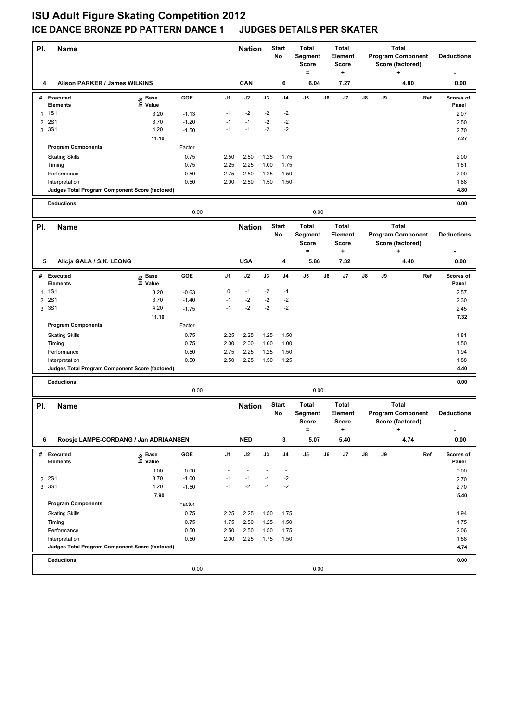## **ISU Adult Figure Skating Competition 2012 ICE DANCE BRONZE PD PATTERN DANCE 1 JUDGES DETAILS PER SKATER**

| PI.            | <b>Name</b>                                                       |                   |         |                | <b>Start</b><br><b>Nation</b><br>No |      |                    | <b>Total</b><br><b>Total</b><br>Segment<br>Element<br><b>Score</b><br>Score<br>$=$<br>÷ |    | <b>Total</b><br><b>Program Component</b><br>Score (factored)<br>+ |    |    |                                                                           | <b>Deductions</b> |                        |
|----------------|-------------------------------------------------------------------|-------------------|---------|----------------|-------------------------------------|------|--------------------|-----------------------------------------------------------------------------------------|----|-------------------------------------------------------------------|----|----|---------------------------------------------------------------------------|-------------------|------------------------|
| 4              | Alison PARKER / James WILKINS                                     |                   |         |                | CAN                                 |      | 6                  | 6.04                                                                                    |    | 7.27                                                              |    |    | 4.80                                                                      |                   | 0.00                   |
|                | # Executed<br><b>Elements</b>                                     | e Base<br>⊆ Value | GOE     | J <sub>1</sub> | J2                                  | J3   | J4                 | J <sub>5</sub>                                                                          | J6 | J7                                                                | J8 | J9 |                                                                           | Ref               | Scores of<br>Panel     |
|                | 1 1 S 1                                                           | 3.20              | $-1.13$ | $-1$           | $-2$                                | $-2$ | $-2$               |                                                                                         |    |                                                                   |    |    |                                                                           |                   | 2.07                   |
| $\overline{2}$ | <b>2S1</b>                                                        | 3.70              | $-1.20$ | $-1$           | $-1$                                | $-2$ | $-2$               |                                                                                         |    |                                                                   |    |    |                                                                           |                   | 2.50                   |
|                | 3 3S1                                                             | 4.20              | $-1.50$ | $-1$           | $-1$                                | $-2$ | $-2$               |                                                                                         |    |                                                                   |    |    |                                                                           |                   | 2.70                   |
|                |                                                                   | 11.10             |         |                |                                     |      |                    |                                                                                         |    |                                                                   |    |    |                                                                           |                   | 7.27                   |
|                | <b>Program Components</b>                                         |                   | Factor  |                |                                     |      |                    |                                                                                         |    |                                                                   |    |    |                                                                           |                   |                        |
|                | <b>Skating Skills</b>                                             |                   | 0.75    | 2.50           | 2.50                                | 1.25 | 1.75               |                                                                                         |    |                                                                   |    |    |                                                                           |                   | 2.00                   |
|                | Timing                                                            |                   | 0.75    | 2.25           | 2.25                                | 1.00 | 1.75               |                                                                                         |    |                                                                   |    |    |                                                                           |                   | 1.81                   |
|                | Performance                                                       |                   | 0.50    | 2.75           | 2.50                                | 1.25 | 1.50               |                                                                                         |    |                                                                   |    |    |                                                                           |                   | 2.00                   |
|                | Interpretation                                                    |                   | 0.50    | 2.00           | 2.50                                | 1.50 | 1.50               |                                                                                         |    |                                                                   |    |    |                                                                           |                   | 1.88                   |
|                | Judges Total Program Component Score (factored)                   |                   |         |                |                                     |      |                    |                                                                                         |    |                                                                   |    |    |                                                                           |                   | 4.80                   |
|                | <b>Deductions</b>                                                 |                   |         |                |                                     |      |                    |                                                                                         |    |                                                                   |    |    |                                                                           |                   | 0.00                   |
|                |                                                                   |                   | 0.00    |                |                                     |      |                    | 0.00                                                                                    |    |                                                                   |    |    |                                                                           |                   |                        |
| PI.            | <b>Name</b>                                                       |                   |         |                | <b>Nation</b>                       |      | <b>Start</b><br>No | <b>Total</b><br>Segment<br><b>Score</b><br>$=$                                          |    | <b>Total</b><br>Element<br><b>Score</b>                           |    |    | <b>Total</b><br><b>Program Component</b><br>Score (factored)<br>÷         |                   | <b>Deductions</b>      |
|                |                                                                   |                   |         |                |                                     |      |                    |                                                                                         |    | ٠                                                                 |    |    |                                                                           |                   |                        |
| 5              | Alicja GALA / S.K. LEONG                                          |                   |         |                | <b>USA</b>                          |      | 4                  | 5.86                                                                                    |    | 7.32                                                              |    |    | 4.40                                                                      |                   | 0.00                   |
|                | # Executed<br><b>Elements</b>                                     | e Base<br>⊑ Value | GOE     | J1             | J2                                  | J3   | J4                 | J <sub>5</sub>                                                                          | J6 | J7                                                                | J8 | J9 |                                                                           | Ref               | Scores of<br>Panel     |
| $\mathbf{1}$   | <b>1S1</b>                                                        | 3.20              | $-0.63$ | 0              | $-1$                                | $-2$ | $-1$               |                                                                                         |    |                                                                   |    |    |                                                                           |                   | 2.57                   |
| $\overline{2}$ | <b>2S1</b>                                                        | 3.70              | $-1.40$ | $-1$           | $-2$                                | $-2$ | $-2$               |                                                                                         |    |                                                                   |    |    |                                                                           |                   | 2.30                   |
|                | 3 3 S 1                                                           | 4.20              | $-1.75$ | $-1$           | $-2$                                | $-2$ | $-2$               |                                                                                         |    |                                                                   |    |    |                                                                           |                   | 2.45                   |
|                |                                                                   | 11.10             |         |                |                                     |      |                    |                                                                                         |    |                                                                   |    |    |                                                                           |                   | 7.32                   |
|                | <b>Program Components</b>                                         |                   | Factor  |                |                                     |      |                    |                                                                                         |    |                                                                   |    |    |                                                                           |                   |                        |
|                | <b>Skating Skills</b>                                             |                   | 0.75    | 2.25           | 2.25                                | 1.25 | 1.50               |                                                                                         |    |                                                                   |    |    |                                                                           |                   | 1.81                   |
|                | Timing                                                            |                   | 0.75    | 2.00           | 2.00                                | 1.00 | 1.00               |                                                                                         |    |                                                                   |    |    |                                                                           |                   | 1.50                   |
|                | Performance                                                       |                   | 0.50    | 2.75           | 2.25                                | 1.25 | 1.50               |                                                                                         |    |                                                                   |    |    |                                                                           |                   | 1.94                   |
|                | Interpretation                                                    |                   | 0.50    | 2.50           | 2.25                                | 1.50 | 1.25               |                                                                                         |    |                                                                   |    |    |                                                                           |                   | 1.88                   |
|                | Judges Total Program Component Score (factored)                   |                   |         |                |                                     |      |                    |                                                                                         |    |                                                                   |    |    |                                                                           |                   | 4.40                   |
|                | <b>Deductions</b>                                                 |                   |         |                |                                     |      |                    |                                                                                         |    |                                                                   |    |    |                                                                           |                   | 0.00                   |
|                |                                                                   |                   | 0.00    |                |                                     |      |                    | 0.00                                                                                    |    |                                                                   |    |    |                                                                           |                   |                        |
| PI.            | <b>Name</b>                                                       |                   |         |                | <b>Nation</b>                       |      | <b>Start</b><br>No | <b>Total</b><br>Segment<br>Score<br>$=$                                                 |    | <b>Total</b><br>Element<br>Score<br>٠                             |    |    | <b>Total</b><br><b>Program Component</b><br>Score (factored)<br>$\ddot{}$ |                   | <b>Deductions</b><br>٠ |
| 6              | Roosje LAMPE-CORDANG / Jan ADRIAANSEN                             |                   |         |                | <b>NED</b>                          |      | 3                  | 5.07                                                                                    |    | 5.40                                                              |    |    | 4.74                                                                      |                   | 0.00                   |
|                | # Executed                                                        |                   | GOE     | J1             | J2                                  | J3   | J4                 | J5                                                                                      | J6 | J7                                                                | J8 | J9 |                                                                           | Ref               | Scores of              |
|                | <b>Elements</b>                                                   | e Base<br>⊆ Value |         |                |                                     |      |                    |                                                                                         |    |                                                                   |    |    |                                                                           |                   | Panel                  |
|                |                                                                   | 0.00              | 0.00    | $\sim$         | $\blacksquare$                      |      | $\blacksquare$     |                                                                                         |    |                                                                   |    |    |                                                                           |                   | 0.00                   |
|                | 2 2 S 1                                                           | 3.70              | $-1.00$ | $-1$           | $-1$                                | $-1$ | $-2$               |                                                                                         |    |                                                                   |    |    |                                                                           |                   | 2.70                   |
|                | 3 3S1                                                             | 4.20              | $-1.50$ | $-1$           | $-2$                                | $-1$ | $-2$               |                                                                                         |    |                                                                   |    |    |                                                                           |                   | 2.70                   |
|                |                                                                   | 7.90              |         |                |                                     |      |                    |                                                                                         |    |                                                                   |    |    |                                                                           |                   | 5.40                   |
|                | <b>Program Components</b>                                         |                   | Factor  |                |                                     |      |                    |                                                                                         |    |                                                                   |    |    |                                                                           |                   |                        |
|                | <b>Skating Skills</b>                                             |                   | 0.75    | 2.25           | 2.25                                | 1.50 | 1.75               |                                                                                         |    |                                                                   |    |    |                                                                           |                   | 1.94                   |
|                | Timing                                                            |                   | 0.75    | 1.75           | 2.50                                | 1.25 | 1.50               |                                                                                         |    |                                                                   |    |    |                                                                           |                   | 1.75                   |
|                | Performance                                                       |                   | 0.50    | 2.50           | 2.50                                | 1.50 | 1.75               |                                                                                         |    |                                                                   |    |    |                                                                           |                   | 2.06                   |
|                | Interpretation<br>Judges Total Program Component Score (factored) |                   | 0.50    | 2.00           | 2.25                                | 1.75 | 1.50               |                                                                                         |    |                                                                   |    |    |                                                                           |                   | 1.88<br>4.74           |
|                | <b>Deductions</b>                                                 |                   |         |                |                                     |      |                    |                                                                                         |    |                                                                   |    |    |                                                                           |                   | 0.00                   |
|                |                                                                   |                   | 0.00    |                |                                     |      |                    | 0.00                                                                                    |    |                                                                   |    |    |                                                                           |                   |                        |
|                |                                                                   |                   |         |                |                                     |      |                    |                                                                                         |    |                                                                   |    |    |                                                                           |                   |                        |